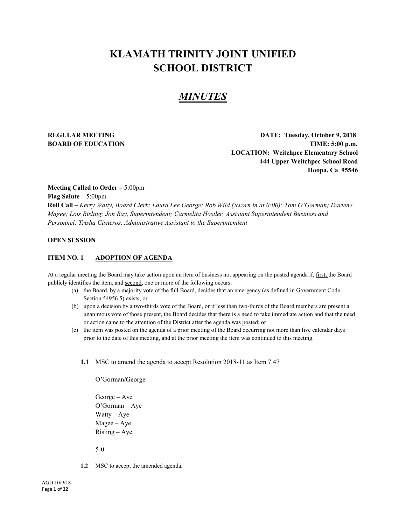# **KLAMATH TRINITY JOINT UNIFIED SCHOOL DISTRICT**

# *MINUTES*

**REGULAR MEETING DATE: Tuesday, October 9, 2018 BOARD OF EDUCATION TIME:** 5:00 p.m. **LOCATION: Weitchpec Elementary School 444 Upper Weitchpec School Road Hoopa, Ca 95546**

**Meeting Called to Order –** 5:00pm

**Flag Salute –** 5:00pm

**Roll Call –** *Kerry Watty, Board Clerk; Laura Lee George; Rob Wild (Sworn in at 0:00); Tom O'Gorman; Darlene Magee; Lois Risling; Jon Ray, Superintendent; Carmelita Hostler, Assistant Superintendent Business and Personnel; Trisha Cisneros, Administrative Assistant to the Superintendent*

# **OPEN SESSION**

### **ITEM NO. 1 ADOPTION OF AGENDA**

At a regular meeting the Board may take action upon an item of business not appearing on the posted agenda if, first, the Board publicly identifies the item, and second, one or more of the following occurs:

- (a) the Board, by a majority vote of the full Board, decides that an emergency (as defined in Government Code Section 54956.5) exists; or
- (b) upon a decision by a two-thirds vote of the Board, or if less than two-thirds of the Board members are present a unanimous vote of those present, the Board decides that there is a need to take immediate action and that the need or action came to the attention of the District after the agenda was posted; or
- (c) the item was posted on the agenda of a prior meeting of the Board occurring not more than five calendar days prior to the date of this meeting, and at the prior meeting the item was continued to this meeting.
	- **1.1** MSC to amend the agenda to accept Resolution 2018-11 as Item 7.47

O'Gorman/George George – Aye O'Gorman – Aye Watty – Aye Magee – Aye Risling – Aye

5-0

**1.2** MSC to accept the amended agenda.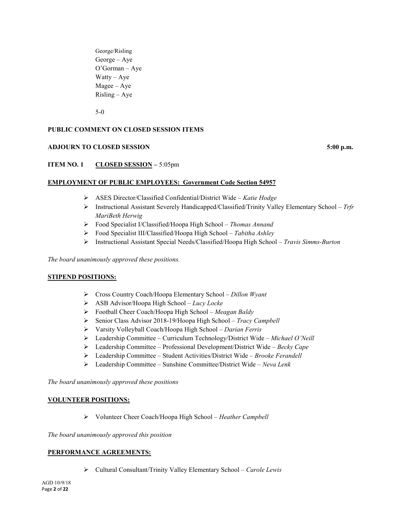George/Risling George – Aye O'Gorman – Aye Watty – Aye Magee – Aye Risling – Aye

5-0

# **PUBLIC COMMENT ON CLOSED SESSION ITEMS**

# **ADJOURN TO CLOSED SESSION 5:00 p.m.**

# **ITEM NO. 1 CLOSED SESSION –** 5:05pm

#### **EMPLOYMENT OF PUBLIC EMPLOYEES: Government Code Section 54957**

- ASES Director/Classified Confidential/District Wide *Katie Hodge*
- Instructional Assistant Severely Handicapped/Classified/Trinity Valley Elementary School *Trfr MariBeth Herwig*
- Food Specialist I/Classified/Hoopa High School *Thomas Annand*
- Food Specialist III/Classified/Hoopa High School *Tabitha Ashley*
- Instructional Assistant Special Needs/Classified/Hoopa High School *Travis Simms-Burton*

*The board unanimously approved these positions.*

### **STIPEND POSITIONS:**

- Cross Country Coach/Hoopa Elementary School *Dillon Wyant*
- ASB Advisor/Hoopa High School *Lucy Locke*
- Football Cheer Coach/Hoopa High School *Meagan Baldy*
- Senior Class Advisor 2018-19/Hoopa High School *Tracy Campbell*
- Varsity Volleyball Coach/Hoopa High School *Darian Ferris*
- Leadership Committee Curriculum Technology/District Wide *Michael O'Neill*
- Leadership Committee Professional Development/District Wide *Becky Cape*
- Leadership Committee Student Activities/District Wide *Brooke Ferandell*
- Leadership Committee Sunshine Committee/District Wide *Neva Lenk*

*The board unanimously approved these positions*

#### **VOLUNTEER POSITIONS:**

Volunteer Cheer Coach/Hoopa High School – *Heather Campbell*

*The board unanimously approved this position*

#### **PERFORMANCE AGREEMENTS:**

Cultural Consultant/Trinity Valley Elementary School – *Carole Lewis*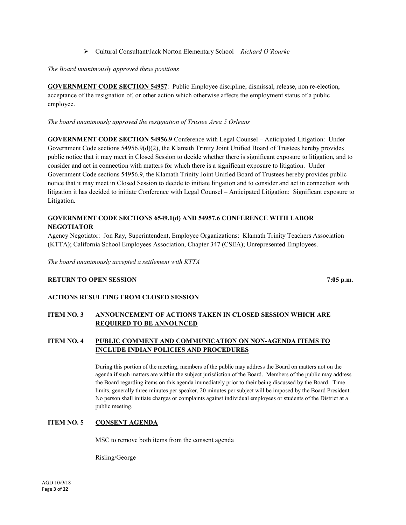Cultural Consultant/Jack Norton Elementary School – *Richard O'Rourke*

## *The Board unanimously approved these positions*

**GOVERNMENT CODE SECTION 54957**: Public Employee discipline, dismissal, release, non re-election, acceptance of the resignation of, or other action which otherwise affects the employment status of a public employee.

## *The board unanimously approved the resignation of Trustee Area 5 Orleans*

**GOVERNMENT CODE SECTION 54956.9** Conference with Legal Counsel – Anticipated Litigation: Under Government Code sections 54956.9(d)(2), the Klamath Trinity Joint Unified Board of Trustees hereby provides public notice that it may meet in Closed Session to decide whether there is significant exposure to litigation, and to consider and act in connection with matters for which there is a significant exposure to litigation. Under Government Code sections 54956.9, the Klamath Trinity Joint Unified Board of Trustees hereby provides public notice that it may meet in Closed Session to decide to initiate litigation and to consider and act in connection with litigation it has decided to initiate Conference with Legal Counsel – Anticipated Litigation: Significant exposure to Litigation.

# **GOVERNMENT CODE SECTIONS 6549.1(d) AND 54957.6 CONFERENCE WITH LABOR NEGOTIATOR**

Agency Negotiator: Jon Ray, Superintendent, Employee Organizations: Klamath Trinity Teachers Association (KTTA); California School Employees Association, Chapter 347 (CSEA); Unrepresented Employees.

*The board unanimously accepted a settlement with KTTA*

# **RETURN TO OPEN SESSION** 7:05 **p.m. 7:05 p.m.**

### **ACTIONS RESULTING FROM CLOSED SESSION**

# **ITEM NO. 3 ANNOUNCEMENT OF ACTIONS TAKEN IN CLOSED SESSION WHICH ARE REQUIRED TO BE ANNOUNCED**

# **ITEM NO. 4 PUBLIC COMMENT AND COMMUNICATION ON NON-AGENDA ITEMS TO INCLUDE INDIAN POLICIES AND PROCEDURES**

During this portion of the meeting, members of the public may address the Board on matters not on the agenda if such matters are within the subject jurisdiction of the Board. Members of the public may address the Board regarding items on this agenda immediately prior to their being discussed by the Board. Time limits, generally three minutes per speaker, 20 minutes per subject will be imposed by the Board President. No person shall initiate charges or complaints against individual employees or students of the District at a public meeting.

# **ITEM NO. 5 CONSENT AGENDA**

MSC to remove both items from the consent agenda

Risling/George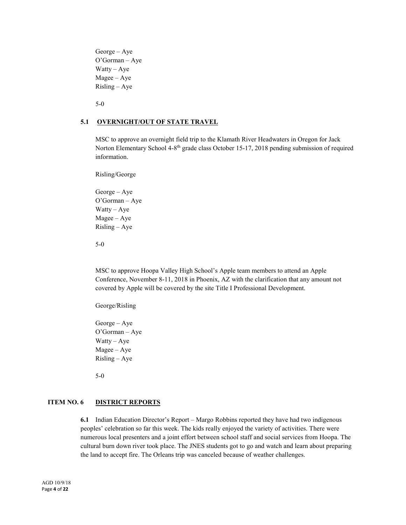George – Aye O'Gorman – Aye Watty – Aye Magee – Aye Risling – Aye

5-0

#### **5.1 OVERNIGHT/OUT OF STATE TRAVEL**

MSC to approve an overnight field trip to the Klamath River Headwaters in Oregon for Jack Norton Elementary School 4-8th grade class October 15-17, 2018 pending submission of required information.

Risling/George

George – Aye O'Gorman – Aye Watty – Aye Magee – Aye Risling – Aye

5-0

MSC to approve Hoopa Valley High School's Apple team members to attend an Apple Conference, November 8-11, 2018 in Phoenix, AZ with the clarification that any amount not covered by Apple will be covered by the site Title I Professional Development.

George/Risling

George – Aye O'Gorman – Aye Watty –  $Aye$ Magee – Aye Risling – Aye

5-0

# **ITEM NO. 6 DISTRICT REPORTS**

**6.1** Indian Education Director's Report – Margo Robbins reported they have had two indigenous peoples' celebration so far this week. The kids really enjoyed the variety of activities. There were numerous local presenters and a joint effort between school staff and social services from Hoopa. The cultural burn down river took place. The JNES students got to go and watch and learn about preparing the land to accept fire. The Orleans trip was canceled because of weather challenges.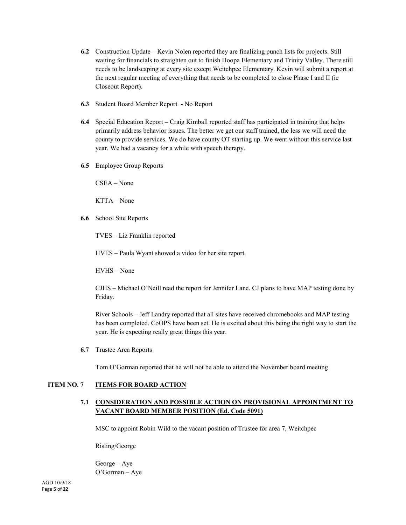- **6.2** Construction Update Kevin Nolen reported they are finalizing punch lists for projects. Still waiting for financials to straighten out to finish Hoopa Elementary and Trinity Valley. There still needs to be landscaping at every site except Weitchpec Elementary. Kevin will submit a report at the next regular meeting of everything that needs to be completed to close Phase I and II (ie Closeout Report).
- **6.3** Student Board Member Report **-** No Report
- **6.4** Special Education Report **–** Craig Kimball reported staff has participated in training that helps primarily address behavior issues. The better we get our staff trained, the less we will need the county to provide services. We do have county OT starting up. We went without this service last year. We had a vacancy for a while with speech therapy.
- **6.5** Employee Group Reports

CSEA – None

KTTA – None

**6.6** School Site Reports

TVES – Liz Franklin reported

HVES – Paula Wyant showed a video for her site report.

HVHS – None

CJHS – Michael O'Neill read the report for Jennifer Lane. CJ plans to have MAP testing done by Friday.

River Schools – Jeff Landry reported that all sites have received chromebooks and MAP testing has been completed. CoOPS have been set. He is excited about this being the right way to start the year. He is expecting really great things this year.

**6.7** Trustee Area Reports

Tom O'Gorman reported that he will not be able to attend the November board meeting

### **ITEM NO. 7 ITEMS FOR BOARD ACTION**

# **7.1 CONSIDERATION AND POSSIBLE ACTION ON PROVISIONAL APPOINTMENT TO VACANT BOARD MEMBER POSITION (Ed. Code 5091)**

MSC to appoint Robin Wild to the vacant position of Trustee for area 7, Weitchpec

Risling/George

George – Aye O'Gorman – Aye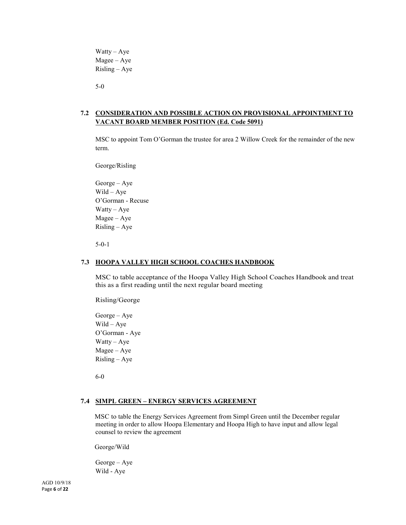Watty – Aye Magee – Aye Risling – Aye

5-0

# **7.2 CONSIDERATION AND POSSIBLE ACTION ON PROVISIONAL APPOINTMENT TO VACANT BOARD MEMBER POSITION (Ed. Code 5091)**

MSC to appoint Tom O'Gorman the trustee for area 2 Willow Creek for the remainder of the new term.

George/Risling

George – Aye Wild – Aye O'Gorman - Recuse Watty – Aye Magee – Aye Risling – Aye

5-0-1

#### **7.3 HOOPA VALLEY HIGH SCHOOL COACHES HANDBOOK**

MSC to table acceptance of the Hoopa Valley High School Coaches Handbook and treat this as a first reading until the next regular board meeting

Risling/George

George – Aye Wild – Aye O'Gorman - Aye Watty – Aye Magee – Aye Risling – Aye

6-0

#### **7.4 SIMPL GREEN – ENERGY SERVICES AGREEMENT**

MSC to table the Energy Services Agreement from Simpl Green until the December regular meeting in order to allow Hoopa Elementary and Hoopa High to have input and allow legal counsel to review the agreement

George/Wild

George – Aye Wild - Aye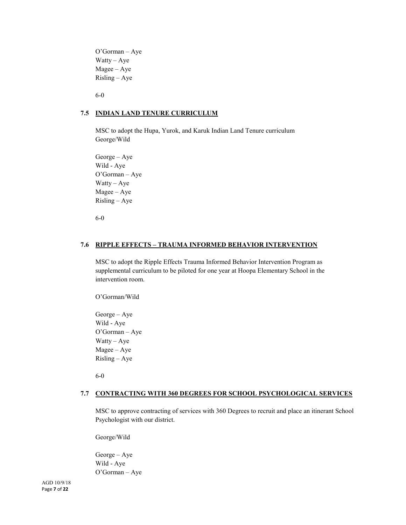O'Gorman – Aye Watty – Aye Magee – Aye Risling – Aye

6-0

### **7.5 INDIAN LAND TENURE CURRICULUM**

MSC to adopt the Hupa, Yurok, and Karuk Indian Land Tenure curriculum George/Wild

George – Aye Wild - Aye O'Gorman – Aye Watty – Aye Magee – Aye Risling – Aye

6-0

#### **7.6 RIPPLE EFFECTS – TRAUMA INFORMED BEHAVIOR INTERVENTION**

MSC to adopt the Ripple Effects Trauma Informed Behavior Intervention Program as supplemental curriculum to be piloted for one year at Hoopa Elementary School in the intervention room.

O'Gorman/Wild

George – Aye Wild - Aye O'Gorman – Aye Watty – Aye Magee – Aye Risling – Aye

6-0

#### **7.7 CONTRACTING WITH 360 DEGREES FOR SCHOOL PSYCHOLOGICAL SERVICES**

MSC to approve contracting of services with 360 Degrees to recruit and place an itinerant School Psychologist with our district.

George/Wild

George – Aye Wild - Aye O'Gorman – Aye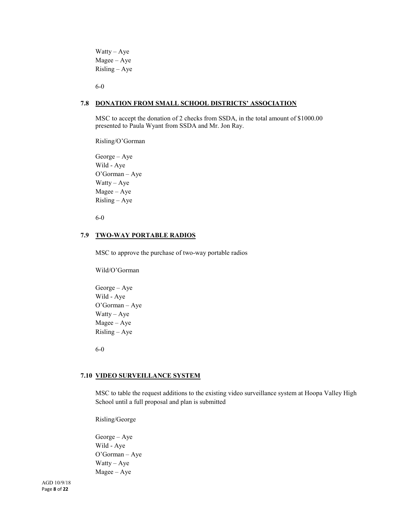Watty – Aye Magee – Aye Risling – Aye

6-0

#### **7.8 DONATION FROM SMALL SCHOOL DISTRICTS' ASSOCIATION**

MSC to accept the donation of 2 checks from SSDA, in the total amount of \$1000.00 presented to Paula Wyant from SSDA and Mr. Jon Ray.

Risling/O'Gorman

George – Aye Wild - Aye O'Gorman – Aye Watty – Aye Magee – Aye Risling – Aye

6-0

#### **7.9 TWO-WAY PORTABLE RADIOS**

MSC to approve the purchase of two-way portable radios

Wild/O'Gorman

George – Aye Wild - Aye O'Gorman – Aye Watty – Aye Magee – Aye Risling – Aye

6-0

# **7.10 VIDEO SURVEILLANCE SYSTEM**

MSC to table the request additions to the existing video surveillance system at Hoopa Valley High School until a full proposal and plan is submitted

Risling/George

George – Aye Wild - Aye O'Gorman – Aye Watty – Aye Magee – Aye

AGD 10/9/18 Page **8** of **22**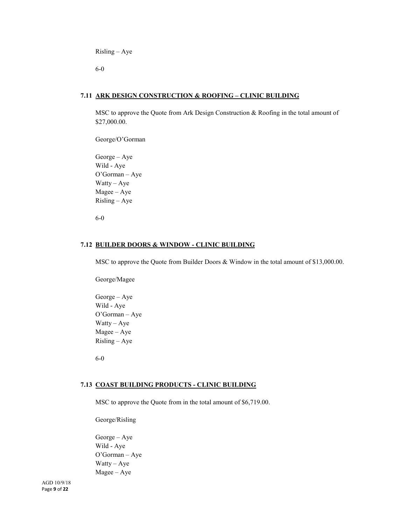Risling – Aye

6-0

### **7.11 ARK DESIGN CONSTRUCTION & ROOFING – CLINIC BUILDING**

MSC to approve the Quote from Ark Design Construction & Roofing in the total amount of \$27,000.00.

George/O'Gorman

George – Aye Wild - Aye O'Gorman – Aye Watty – Aye Magee – Aye Risling – Aye

6-0

## **7.12 BUILDER DOORS & WINDOW - CLINIC BUILDING**

MSC to approve the Quote from Builder Doors & Window in the total amount of \$13,000.00.

George/Magee

George – Aye Wild - Aye O'Gorman – Aye Watty – Aye Magee – Aye Risling – Aye

6-0

#### **7.13 COAST BUILDING PRODUCTS - CLINIC BUILDING**

MSC to approve the Quote from in the total amount of \$6,719.00.

George/Risling

George – Aye Wild - Aye O'Gorman – Aye Watty – Aye Magee – Aye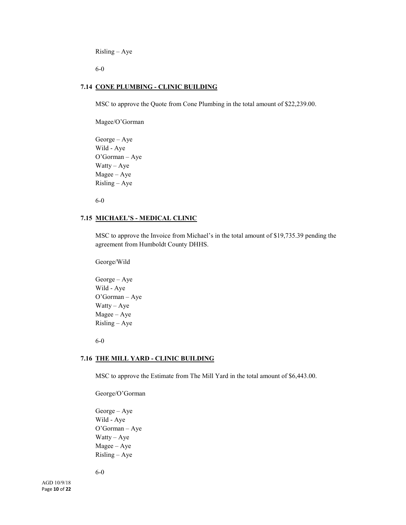Risling – Aye

6-0

#### **7.14 CONE PLUMBING - CLINIC BUILDING**

MSC to approve the Quote from Cone Plumbing in the total amount of \$22,239.00.

Magee/O'Gorman

George – Aye Wild - Aye O'Gorman – Aye Watty – Aye Magee – Aye Risling – Aye

6-0

#### **7.15 MICHAEL'S - MEDICAL CLINIC**

MSC to approve the Invoice from Michael's in the total amount of \$19,735.39 pending the agreement from Humboldt County DHHS.

George/Wild

George – Aye Wild - Aye O'Gorman – Aye Watty – Aye Magee – Aye Risling – Aye

6-0

#### **7.16 THE MILL YARD - CLINIC BUILDING**

MSC to approve the Estimate from The Mill Yard in the total amount of \$6,443.00.

George/O'Gorman

George – Aye Wild - Aye O'Gorman – Aye Watty – Aye Magee – Aye Risling – Aye

6-0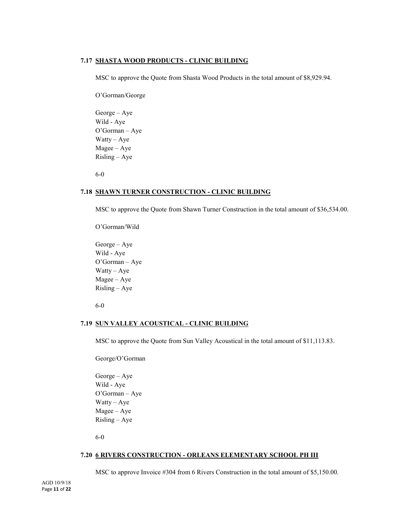#### **7.17 SHASTA WOOD PRODUCTS - CLINIC BUILDING**

MSC to approve the Quote from Shasta Wood Products in the total amount of \$8,929.94.

O'Gorman/George

George – Aye Wild - Aye O'Gorman – Aye Watty – Aye Magee – Aye Risling – Aye

6-0

#### **7.18 SHAWN TURNER CONSTRUCTION - CLINIC BUILDING**

MSC to approve the Quote from Shawn Turner Construction in the total amount of \$36,534.00.

O'Gorman/Wild

George – Aye Wild - Aye O'Gorman – Aye Watty – Aye Magee – Aye Risling – Aye

6-0

#### **7.19 SUN VALLEY ACOUSTICAL - CLINIC BUILDING**

MSC to approve the Quote from Sun Valley Acoustical in the total amount of \$11,113.83.

George/O'Gorman

George – Aye Wild - Aye O'Gorman – Aye Watty – Aye Magee – Aye Risling – Aye

6-0

#### **7.20 6 RIVERS CONSTRUCTION - ORLEANS ELEMENTARY SCHOOL PH III**

MSC to approve Invoice #304 from 6 Rivers Construction in the total amount of \$5,150.00.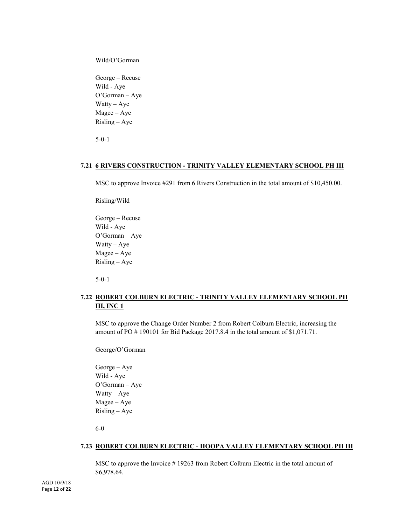Wild/O'Gorman

George – Recuse Wild - Aye O'Gorman – Aye Watty – Aye Magee – Aye Risling – Aye

5-0-1

#### **7.21 6 RIVERS CONSTRUCTION - TRINITY VALLEY ELEMENTARY SCHOOL PH III**

MSC to approve Invoice #291 from 6 Rivers Construction in the total amount of \$10,450.00.

Risling/Wild

George – Recuse Wild - Aye O'Gorman – Aye Watty – Aye Magee – Aye Risling – Aye

5-0-1

# **7.22 ROBERT COLBURN ELECTRIC - TRINITY VALLEY ELEMENTARY SCHOOL PH III, INC 1**

MSC to approve the Change Order Number 2 from Robert Colburn Electric, increasing the amount of PO # 190101 for Bid Package 2017.8.4 in the total amount of \$1,071.71.

George/O'Gorman

George – Aye Wild - Aye O'Gorman – Aye Watty – Aye Magee – Aye Risling – Aye

6-0

#### **7.23 ROBERT COLBURN ELECTRIC - HOOPA VALLEY ELEMENTARY SCHOOL PH III**

MSC to approve the Invoice # 19263 from Robert Colburn Electric in the total amount of \$6,978.64.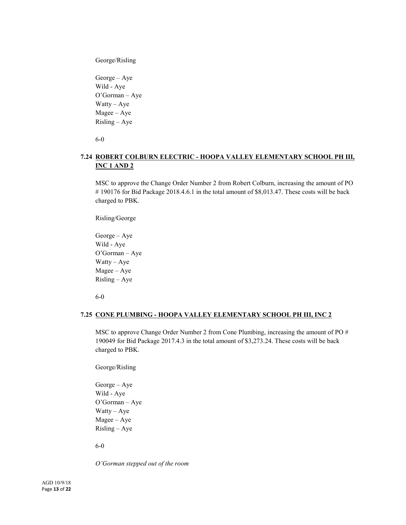George/Risling

George – Aye Wild - Aye O'Gorman – Aye Watty – Aye Magee – Aye Risling – Aye

6-0

# **7.24 ROBERT COLBURN ELECTRIC - HOOPA VALLEY ELEMENTARY SCHOOL PH III, INC 1 AND 2**

MSC to approve the Change Order Number 2 from Robert Colburn, increasing the amount of PO # 190176 for Bid Package 2018.4.6.1 in the total amount of \$8,013.47. These costs will be back charged to PBK.

Risling/George

George – Aye Wild - Aye O'Gorman – Aye Watty – Aye Magee – Aye Risling – Aye

6-0

#### **7.25 CONE PLUMBING - HOOPA VALLEY ELEMENTARY SCHOOL PH III, INC 2**

MSC to approve Change Order Number 2 from Cone Plumbing, increasing the amount of PO # 190049 for Bid Package 2017.4.3 in the total amount of \$3,273.24. These costs will be back charged to PBK.

George/Risling

George – Aye Wild - Aye O'Gorman – Aye Watty – Aye Magee – Aye Risling – Aye

6-0

*O'Gorman stepped out of the room*

AGD 10/9/18 Page **13** of **22**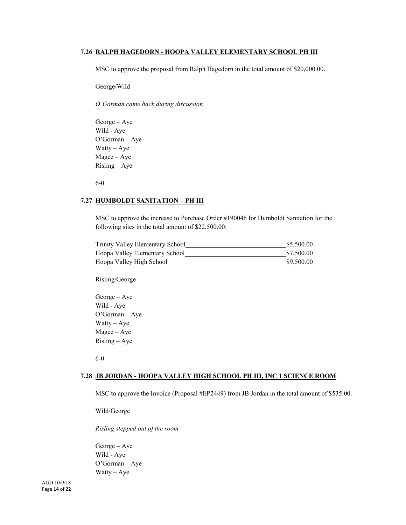#### **7.26 RALPH HAGEDORN - HOOPA VALLEY ELEMENTARY SCHOOL PH III**

MSC to approve the proposal from Ralph Hagedorn in the total amount of \$20,000.00.

George/Wild

*O'Gorman came back during discussion*

George – Aye Wild - Aye O'Gorman – Aye Watty – Aye Magee – Aye Risling – Aye

6-0

# **7.27 HUMBOLDT SANITATION – PH III**

MSC to approve the increase to Purchase Order #190046 for Humboldt Sanitation for the following sites in the total amount of \$22,500.00:

| Trinity Valley Elementary School | \$5,500.00 |
|----------------------------------|------------|
| Hoopa Valley Elementary School   | \$7,500.00 |
| Hoopa Valley High School         | \$9,500.00 |

Risling/George

George – Aye Wild - Aye O'Gorman – Aye Watty – Aye Magee – Aye Risling – Aye

6-0

#### **7.28 JB JORDAN - HOOPA VALLEY HIGH SCHOOL PH III, INC 1 SCIENCE ROOM**

MSC to approve the Invoice (Proposal #EP2449) from JB Jordan in the total amount of \$535.00.

Wild/George

*Risling stepped out of the room*

George – Aye Wild - Aye O'Gorman – Aye Watty – Aye

AGD 10/9/18 Page **14** of **22**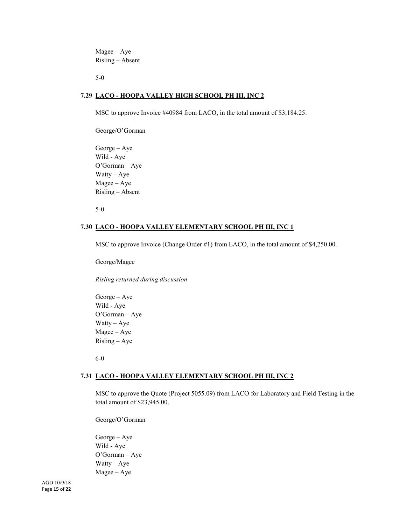Magee – Aye Risling – Absent

5-0

# **7.29 LACO - HOOPA VALLEY HIGH SCHOOL PH III, INC 2**

MSC to approve Invoice #40984 from LACO, in the total amount of \$3,184.25.

George/O'Gorman

George – Aye Wild - Aye O'Gorman – Aye Watty – Aye Magee – Aye Risling – Absent

5-0

#### **7.30 LACO - HOOPA VALLEY ELEMENTARY SCHOOL PH III, INC 1**

MSC to approve Invoice (Change Order #1) from LACO, in the total amount of \$4,250.00.

George/Magee

*Risling returned during discussion*

George – Aye Wild - Aye O'Gorman – Aye Watty – Aye Magee – Aye Risling – Aye

6-0

#### **7.31 LACO - HOOPA VALLEY ELEMENTARY SCHOOL PH III, INC 2**

MSC to approve the Quote (Project 5055.09) from LACO for Laboratory and Field Testing in the total amount of \$23,945.00.

George/O'Gorman

George – Aye Wild - Aye O'Gorman – Aye Watty – Aye Magee – Aye

AGD 10/9/18 Page **15** of **22**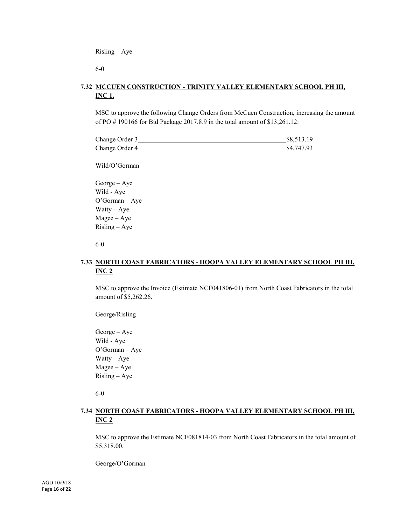Risling – Aye

6-0

# **7.32 MCCUEN CONSTRUCTION - TRINITY VALLEY ELEMENTARY SCHOOL PH III, INC 1.**

MSC to approve the following Change Orders from McCuen Construction, increasing the amount of PO # 190166 for Bid Package 2017.8.9 in the total amount of \$13,261.12:

| Change Order 3 | \$8,513.19 |
|----------------|------------|
| Change Order 4 | \$4,747.93 |

Wild/O'Gorman

George – Aye Wild - Aye O'Gorman – Aye Watty – Aye Magee – Aye Risling – Aye

6-0

# **7.33 NORTH COAST FABRICATORS - HOOPA VALLEY ELEMENTARY SCHOOL PH III, INC 2**

MSC to approve the Invoice (Estimate NCF041806-01) from North Coast Fabricators in the total amount of \$5,262.26.

George/Risling

George – Aye Wild - Aye O'Gorman – Aye Watty – Aye Magee – Aye Risling – Aye

6-0

# **7.34 NORTH COAST FABRICATORS - HOOPA VALLEY ELEMENTARY SCHOOL PH III, INC 2**

MSC to approve the Estimate NCF081814-03 from North Coast Fabricators in the total amount of \$5,318.00.

George/O'Gorman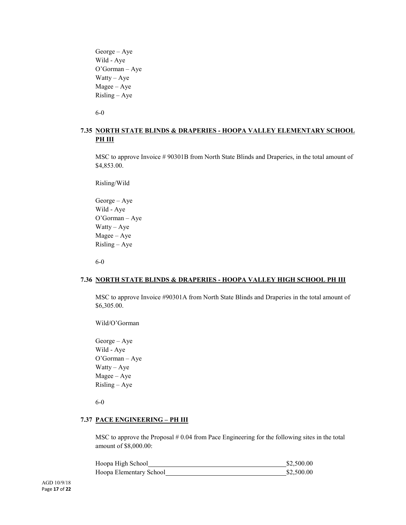George – Aye Wild - Aye O'Gorman – Aye Watty – Aye Magee – Aye Risling – Aye

6-0

# **7.35 NORTH STATE BLINDS & DRAPERIES - HOOPA VALLEY ELEMENTARY SCHOOL PH III**

MSC to approve Invoice # 90301B from North State Blinds and Draperies, in the total amount of \$4,853.00.

Risling/Wild

George – Aye Wild - Aye O'Gorman – Aye Watty – Aye Magee – Aye Risling – Aye

6-0

### **7.36 NORTH STATE BLINDS & DRAPERIES - HOOPA VALLEY HIGH SCHOOL PH III**

MSC to approve Invoice #90301A from North State Blinds and Draperies in the total amount of \$6,305.00.

Wild/O'Gorman

George – Aye Wild - Aye O'Gorman – Aye Watty – Aye Magee – Aye Risling – Aye

6-0

#### **7.37 PACE ENGINEERING – PH III**

MSC to approve the Proposal  $#0.04$  from Pace Engineering for the following sites in the total amount of \$8,000.00:

| Hoopa High School       | \$2,500.00 |  |
|-------------------------|------------|--|
| Hoopa Elementary School | \$2,500.00 |  |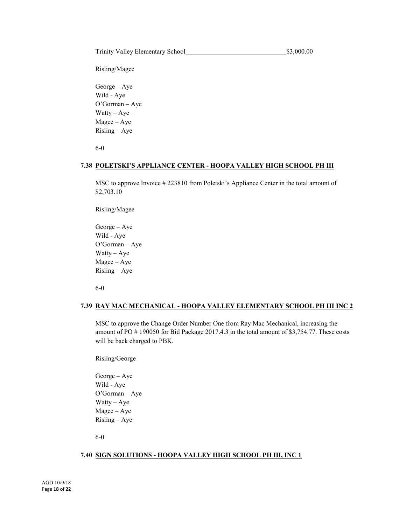Risling/Magee

George – Aye Wild - Aye O'Gorman – Aye Watty – Aye Magee – Aye Risling – Aye

6-0

#### **7.38 POLETSKI'S APPLIANCE CENTER - HOOPA VALLEY HIGH SCHOOL PH III**

MSC to approve Invoice # 223810 from Poletski's Appliance Center in the total amount of \$2,703.10

Risling/Magee

George – Aye Wild - Aye O'Gorman – Aye Watty – Aye Magee – Aye Risling – Aye

6-0

#### **7.39 RAY MAC MECHANICAL - HOOPA VALLEY ELEMENTARY SCHOOL PH III INC 2**

MSC to approve the Change Order Number One from Ray Mac Mechanical, increasing the amount of PO # 190050 for Bid Package 2017.4.3 in the total amount of \$3,754.77. These costs will be back charged to PBK.

Risling/George

George – Aye Wild - Aye O'Gorman – Aye Watty – Aye Magee – Aye Risling – Aye

6-0

#### **7.40 SIGN SOLUTIONS - HOOPA VALLEY HIGH SCHOOL PH III, INC 1**

AGD 10/9/18 Page **18** of **22**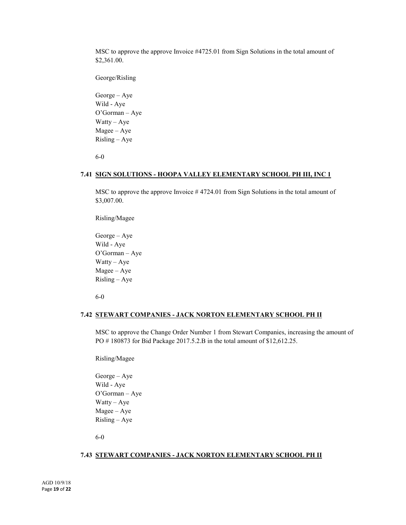MSC to approve the approve Invoice #4725.01 from Sign Solutions in the total amount of \$2,361.00.

George/Risling

George – Aye Wild - Aye O'Gorman – Aye Watty – Aye Magee – Aye Risling – Aye

6-0

#### **7.41 SIGN SOLUTIONS - HOOPA VALLEY ELEMENTARY SCHOOL PH III, INC 1**

MSC to approve the approve Invoice # 4724.01 from Sign Solutions in the total amount of \$3,007.00.

Risling/Magee

George – Aye Wild - Aye O'Gorman – Aye Watty – Aye Magee – Aye Risling – Aye

6-0

#### **7.42 STEWART COMPANIES - JACK NORTON ELEMENTARY SCHOOL PH II**

MSC to approve the Change Order Number 1 from Stewart Companies, increasing the amount of PO # 180873 for Bid Package 2017.5.2.B in the total amount of \$12,612.25.

Risling/Magee

George – Aye Wild - Aye O'Gorman – Aye Watty – Aye Magee – Aye Risling – Aye

6-0

#### **7.43 STEWART COMPANIES - JACK NORTON ELEMENTARY SCHOOL PH II**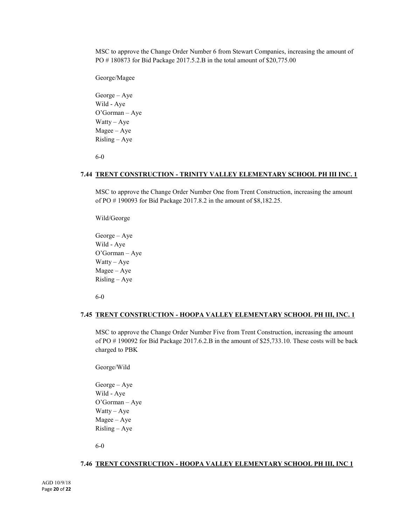MSC to approve the Change Order Number 6 from Stewart Companies, increasing the amount of PO # 180873 for Bid Package 2017.5.2.B in the total amount of \$20,775.00

George/Magee

George – Aye Wild - Aye O'Gorman – Aye Watty – Aye Magee – Aye Risling – Aye

6-0

#### **7.44 TRENT CONSTRUCTION - TRINITY VALLEY ELEMENTARY SCHOOL PH III INC. 1**

MSC to approve the Change Order Number One from Trent Construction, increasing the amount of PO # 190093 for Bid Package 2017.8.2 in the amount of \$8,182.25.

Wild/George

George – Aye Wild - Aye O'Gorman – Aye Watty – Aye Magee – Aye Risling – Aye

6-0

#### **7.45 TRENT CONSTRUCTION - HOOPA VALLEY ELEMENTARY SCHOOL PH III, INC. 1**

MSC to approve the Change Order Number Five from Trent Construction, increasing the amount of PO # 190092 for Bid Package 2017.6.2.B in the amount of \$25,733.10. These costs will be back charged to PBK

George/Wild

George – Aye Wild - Aye O'Gorman – Aye Watty – Aye Magee – Aye Risling – Aye

6-0

# **7.46 TRENT CONSTRUCTION - HOOPA VALLEY ELEMENTARY SCHOOL PH III, INC 1**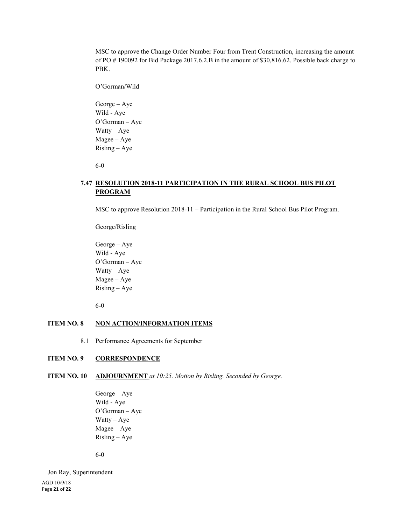MSC to approve the Change Order Number Four from Trent Construction, increasing the amount of PO # 190092 for Bid Package 2017.6.2.B in the amount of \$30,816.62. Possible back charge to PBK.

O'Gorman/Wild George – Aye Wild - Aye O'Gorman – Aye Watty – Aye Magee – Aye Risling – Aye

6-0

# **7.47 RESOLUTION 2018-11 PARTICIPATION IN THE RURAL SCHOOL BUS PILOT PROGRAM**

MSC to approve Resolution 2018-11 – Participation in the Rural School Bus Pilot Program.

George/Risling

George – Aye Wild - Aye O'Gorman – Aye Watty – Aye Magee – Aye Risling – Aye

6-0

#### **ITEM NO. 8 NON ACTION/INFORMATION ITEMS**

8.1 Performance Agreements for September

#### **ITEM NO. 9 CORRESPONDENCE**

**ITEM NO. 10 ADJOURNMENT** *at 10:25. Motion by Risling. Seconded by George.* 

George – Aye Wild - Aye O'Gorman – Aye Watty – Aye Magee – Aye Risling – Aye

6-0

AGD 10/9/18 Page **21** of **22** Jon Ray, Superintendent